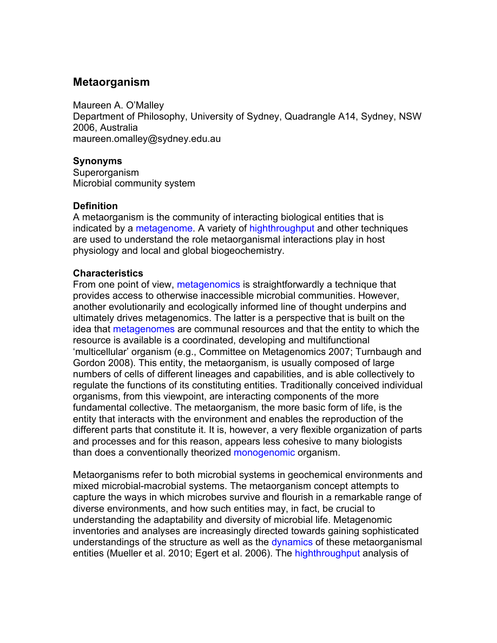# **Metaorganism**

Maureen A. O'Malley Department of Philosophy, University of Sydney, Quadrangle A14, Sydney, NSW 2006, Australia maureen.omalley@sydney.edu.au

## **Synonyms**

Superorganism Microbial community system

#### **Definition**

A metaorganism is the community of interacting biological entities that is indicated by a metagenome. A variety of highthroughput and other techniques are used to understand the role metaorganismal interactions play in host physiology and local and global biogeochemistry.

## **Characteristics**

From one point of view, metagenomics is straightforwardly a technique that provides access to otherwise inaccessible microbial communities. However, another evolutionarily and ecologically informed line of thought underpins and ultimately drives metagenomics. The latter is a perspective that is built on the idea that metagenomes are communal resources and that the entity to which the resource is available is a coordinated, developing and multifunctional 'multicellular' organism (e.g., Committee on Metagenomics 2007; Turnbaugh and Gordon 2008). This entity, the metaorganism, is usually composed of large numbers of cells of different lineages and capabilities, and is able collectively to regulate the functions of its constituting entities. Traditionally conceived individual organisms, from this viewpoint, are interacting components of the more fundamental collective. The metaorganism, the more basic form of life, is the entity that interacts with the environment and enables the reproduction of the different parts that constitute it. It is, however, a very flexible organization of parts and processes and for this reason, appears less cohesive to many biologists than does a conventionally theorized monogenomic organism.

Metaorganisms refer to both microbial systems in geochemical environments and mixed microbial-macrobial systems. The metaorganism concept attempts to capture the ways in which microbes survive and flourish in a remarkable range of diverse environments, and how such entities may, in fact, be crucial to understanding the adaptability and diversity of microbial life. Metagenomic inventories and analyses are increasingly directed towards gaining sophisticated understandings of the structure as well as the dynamics of these metaorganismal entities (Mueller et al. 2010; Egert et al. 2006). The highthroughput analysis of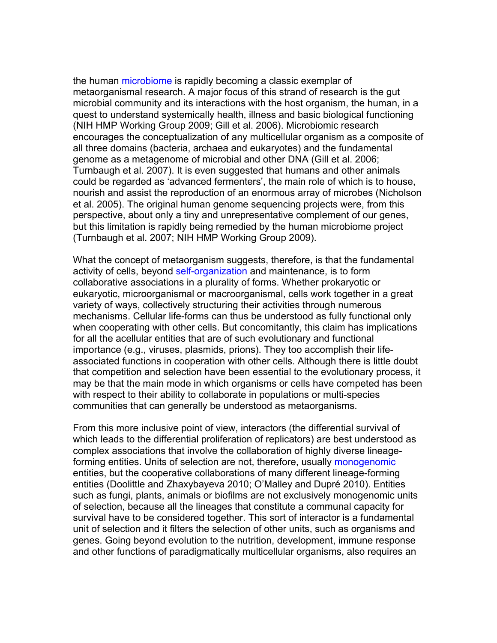the human microbiome is rapidly becoming a classic exemplar of metaorganismal research. A major focus of this strand of research is the gut microbial community and its interactions with the host organism, the human, in a quest to understand systemically health, illness and basic biological functioning (NIH HMP Working Group 2009; Gill et al. 2006). Microbiomic research encourages the conceptualization of any multicellular organism as a composite of all three domains (bacteria, archaea and eukaryotes) and the fundamental genome as a metagenome of microbial and other DNA (Gill et al. 2006; Turnbaugh et al. 2007). It is even suggested that humans and other animals could be regarded as 'advanced fermenters', the main role of which is to house, nourish and assist the reproduction of an enormous array of microbes (Nicholson et al. 2005). The original human genome sequencing projects were, from this perspective, about only a tiny and unrepresentative complement of our genes, but this limitation is rapidly being remedied by the human microbiome project (Turnbaugh et al. 2007; NIH HMP Working Group 2009).

What the concept of metaorganism suggests, therefore, is that the fundamental activity of cells, beyond self-organization and maintenance, is to form collaborative associations in a plurality of forms. Whether prokaryotic or eukaryotic, microorganismal or macroorganismal, cells work together in a great variety of ways, collectively structuring their activities through numerous mechanisms. Cellular life-forms can thus be understood as fully functional only when cooperating with other cells. But concomitantly, this claim has implications for all the acellular entities that are of such evolutionary and functional importance (e.g., viruses, plasmids, prions). They too accomplish their lifeassociated functions in cooperation with other cells. Although there is little doubt that competition and selection have been essential to the evolutionary process, it may be that the main mode in which organisms or cells have competed has been with respect to their ability to collaborate in populations or multi-species communities that can generally be understood as metaorganisms.

From this more inclusive point of view, interactors (the differential survival of which leads to the differential proliferation of replicators) are best understood as complex associations that involve the collaboration of highly diverse lineageforming entities. Units of selection are not, therefore, usually monogenomic entities, but the cooperative collaborations of many different lineage-forming entities (Doolittle and Zhaxybayeva 2010; O'Malley and Dupré 2010). Entities such as fungi, plants, animals or biofilms are not exclusively monogenomic units of selection, because all the lineages that constitute a communal capacity for survival have to be considered together. This sort of interactor is a fundamental unit of selection and it filters the selection of other units, such as organisms and genes. Going beyond evolution to the nutrition, development, immune response and other functions of paradigmatically multicellular organisms, also requires an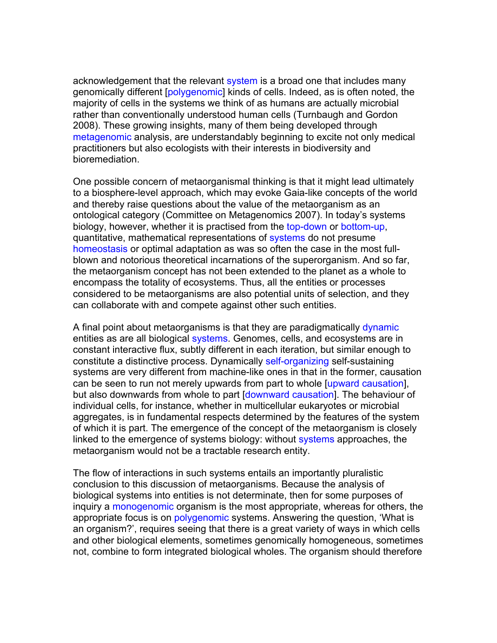acknowledgement that the relevant system is a broad one that includes many genomically different [polygenomic] kinds of cells. Indeed, as is often noted, the majority of cells in the systems we think of as humans are actually microbial rather than conventionally understood human cells (Turnbaugh and Gordon 2008). These growing insights, many of them being developed through metagenomic analysis, are understandably beginning to excite not only medical practitioners but also ecologists with their interests in biodiversity and bioremediation.

One possible concern of metaorganismal thinking is that it might lead ultimately to a biosphere-level approach, which may evoke Gaia-like concepts of the world and thereby raise questions about the value of the metaorganism as an ontological category (Committee on Metagenomics 2007). In today's systems biology, however, whether it is practised from the top-down or bottom-up, quantitative, mathematical representations of systems do not presume homeostasis or optimal adaptation as was so often the case in the most fullblown and notorious theoretical incarnations of the superorganism. And so far, the metaorganism concept has not been extended to the planet as a whole to encompass the totality of ecosystems. Thus, all the entities or processes considered to be metaorganisms are also potential units of selection, and they can collaborate with and compete against other such entities.

A final point about metaorganisms is that they are paradigmatically dynamic entities as are all biological systems. Genomes, cells, and ecosystems are in constant interactive flux, subtly different in each iteration, but similar enough to constitute a distinctive process. Dynamically self-organizing self-sustaining systems are very different from machine-like ones in that in the former, causation can be seen to run not merely upwards from part to whole [upward causation], but also downwards from whole to part [downward causation]. The behaviour of individual cells, for instance, whether in multicellular eukaryotes or microbial aggregates, is in fundamental respects determined by the features of the system of which it is part. The emergence of the concept of the metaorganism is closely linked to the emergence of systems biology: without systems approaches, the metaorganism would not be a tractable research entity.

The flow of interactions in such systems entails an importantly pluralistic conclusion to this discussion of metaorganisms. Because the analysis of biological systems into entities is not determinate, then for some purposes of inquiry a monogenomic organism is the most appropriate, whereas for others, the appropriate focus is on polygenomic systems. Answering the question, 'What is an organism?', requires seeing that there is a great variety of ways in which cells and other biological elements, sometimes genomically homogeneous, sometimes not, combine to form integrated biological wholes. The organism should therefore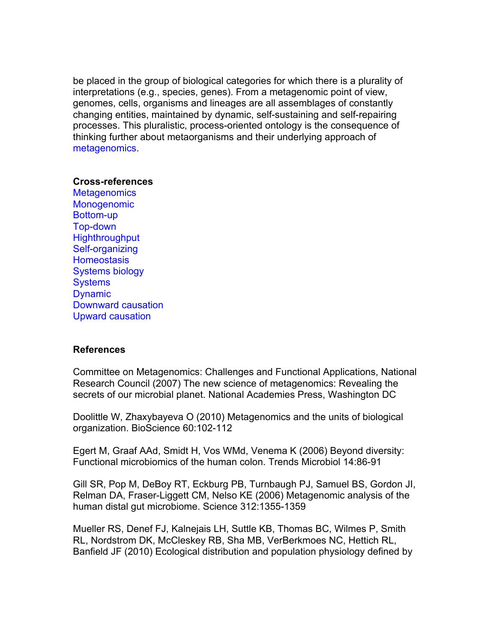be placed in the group of biological categories for which there is a plurality of interpretations (e.g., species, genes). From a metagenomic point of view, genomes, cells, organisms and lineages are all assemblages of constantly changing entities, maintained by dynamic, self-sustaining and self-repairing processes. This pluralistic, process-oriented ontology is the consequence of thinking further about metaorganisms and their underlying approach of metagenomics.

#### **Cross-references**

**Metagenomics Monogenomic** Bottom-up Top-down **Highthroughput** Self-organizing **Homeostasis** Systems biology **Systems** Dynamic Downward causation Upward causation

#### **References**

Committee on Metagenomics: Challenges and Functional Applications, National Research Council (2007) The new science of metagenomics: Revealing the secrets of our microbial planet. National Academies Press, Washington DC

Doolittle W, Zhaxybayeva O (2010) Metagenomics and the units of biological organization. BioScience 60:102-112

Egert M, Graaf AAd, Smidt H, Vos WMd, Venema K (2006) Beyond diversity: Functional microbiomics of the human colon. Trends Microbiol 14:86-91

Gill SR, Pop M, DeBoy RT, Eckburg PB, Turnbaugh PJ, Samuel BS, Gordon JI, Relman DA, Fraser-Liggett CM, Nelso KE (2006) Metagenomic analysis of the human distal gut microbiome. Science 312:1355-1359

Mueller RS, Denef FJ, Kalnejais LH, Suttle KB, Thomas BC, Wilmes P, Smith RL, Nordstrom DK, McCleskey RB, Sha MB, VerBerkmoes NC, Hettich RL, Banfield JF (2010) Ecological distribution and population physiology defined by